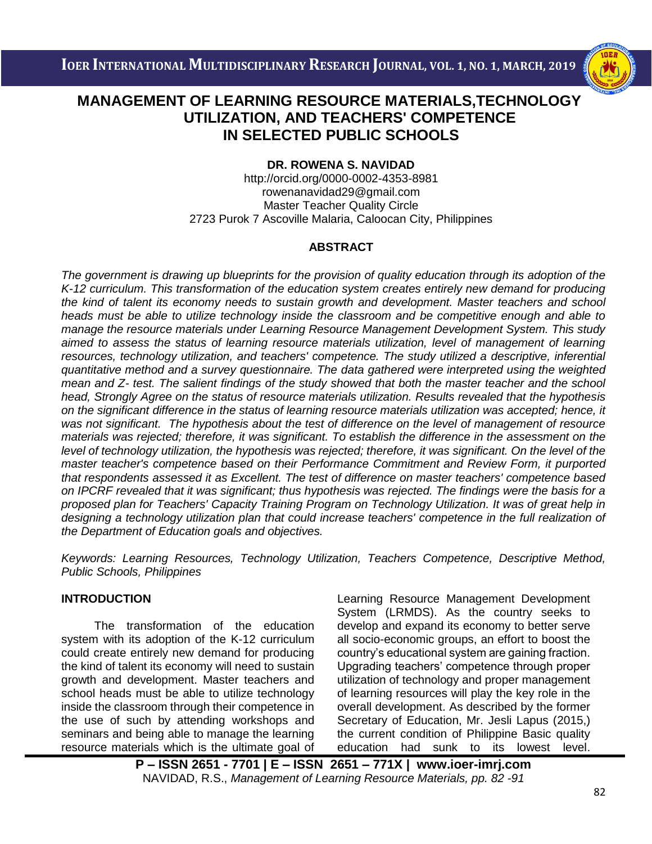

## i<br>I  **UTILIZATION, AND TEACHERS' COMPETENCE MANAGEMENT OF LEARNING RESOURCE MATERIALS,TECHNOLOGY IN SELECTED PUBLIC SCHOOLS**

### **DR. ROWENA S. NAVIDAD**

http://orcid.org/0000-0002-4353-8981 [rowenanavidad29@gmail.com](mailto:rowenanavidad29@gmail.com) Master Teacher Quality Circle 2723 Purok 7 Ascoville Malaria, Caloocan City, Philippines

### **ABSTRACT**

*The government is drawing up blueprints for the provision of quality education through its adoption of the K-12 curriculum. This transformation of the education system creates entirely new demand for producing the kind of talent its economy needs to sustain growth and development. Master teachers and school heads must be able to utilize technology inside the classroom and be competitive enough and able to manage the resource materials under Learning Resource Management Development System. This study aimed to assess the status of learning resource materials utilization, level of management of learning resources, technology utilization, and teachers' competence. The study utilized a descriptive, inferential quantitative method and a survey questionnaire. The data gathered were interpreted using the weighted mean and Z- test. The salient findings of the study showed that both the master teacher and the school head, Strongly Agree on the status of resource materials utilization. Results revealed that the hypothesis on the significant difference in the status of learning resource materials utilization was accepted; hence, it was not significant. The hypothesis about the test of difference on the level of management of resource materials was rejected; therefore, it was significant. To establish the difference in the assessment on the level of technology utilization, the hypothesis was rejected; therefore, it was significant. On the level of the master teacher's competence based on their Performance Commitment and Review Form, it purported that respondents assessed it as Excellent. The test of difference on master teachers' competence based on IPCRF revealed that it was significant; thus hypothesis was rejected. The findings were the basis for a proposed plan for Teachers' Capacity Training Program on Technology Utilization. It was of great help in*  designing a technology utilization plan that could increase teachers' competence in the full realization of *the Department of Education goals and objectives.*

*Keywords: Learning Resources, Technology Utilization, Teachers Competence, Descriptive Method, Public Schools, Philippines*

## **INTRODUCTION**

The transformation of the education system with its adoption of the K-12 curriculum could create entirely new demand for producing the kind of talent its economy will need to sustain growth and development. Master teachers and school heads must be able to utilize technology inside the classroom through their competence in the use of such by attending workshops and seminars and being able to manage the learning resource materials which is the ultimate goal of Learning Resource Management Development System (LRMDS). As the country seeks to develop and expand its economy to better serve all socio-economic groups, an effort to boost the country's educational system are gaining fraction. Upgrading teachers' competence through proper utilization of technology and proper management of learning resources will play the key role in the overall development. As described by the former Secretary of Education, Mr. Jesli Lapus (2015,) the current condition of Philippine Basic quality education had sunk to its lowest level.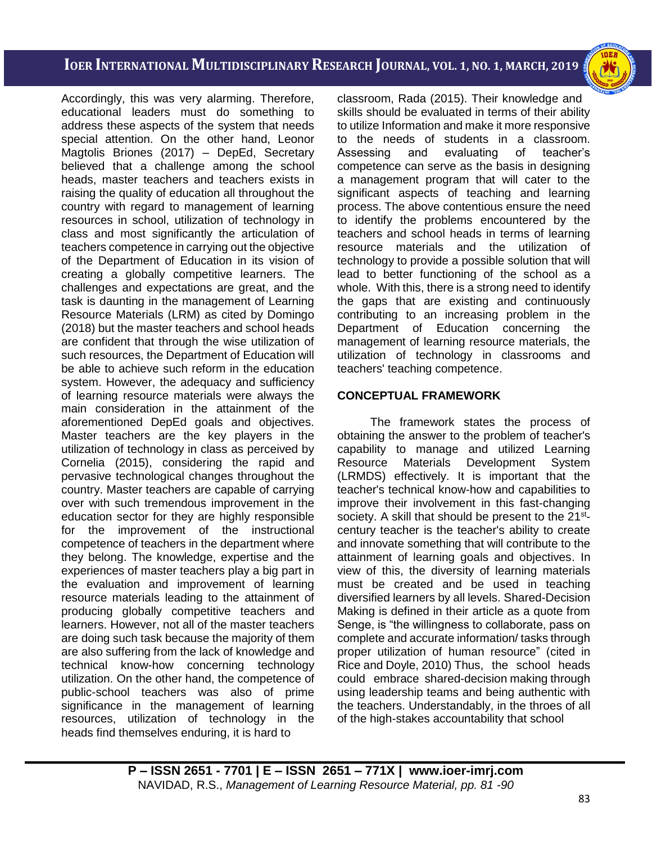i<br>I

Accordingly, this was very alarming. Therefore, educational leaders must do something to address these aspects of the system that needs special attention. On the other hand, Leonor Magtolis Briones (2017) – DepEd, Secretary believed that a challenge among the school heads, master teachers and teachers exists in raising the quality of education all throughout the country with regard to management of learning resources in school, utilization of technology in class and most significantly the articulation of teachers competence in carrying out the objective of the Department of Education in its vision of creating a globally competitive learners. The challenges and expectations are great, and the task is daunting in the management of Learning Resource Materials (LRM) as cited by Domingo (2018) but the master teachers and school heads are confident that through the wise utilization of such resources, the Department of Education will be able to achieve such reform in the education system. However, the adequacy and sufficiency of learning resource materials were always the main consideration in the attainment of the aforementioned DepEd goals and objectives. Master teachers are the key players in the utilization of technology in class as perceived by Cornelia (2015), considering the rapid and pervasive technological changes throughout the country. Master teachers are capable of carrying over with such tremendous improvement in the education sector for they are highly responsible for the improvement of the instructional competence of teachers in the department where they belong. The knowledge, expertise and the experiences of master teachers play a big part in the evaluation and improvement of learning resource materials leading to the attainment of producing globally competitive teachers and learners. However, not all of the master teachers are doing such task because the majority of them are also suffering from the lack of knowledge and technical know-how concerning technology utilization. On the other hand, the competence of public-school teachers was also of prime significance in the management of learning resources, utilization of technology in the heads find themselves enduring, it is hard to

classroom, Rada (2015). Their knowledge and skills should be evaluated in terms of their ability to utilize Information and make it more responsive to the needs of students in a classroom. Assessing and evaluating of teacher's competence can serve as the basis in designing a management program that will cater to the significant aspects of teaching and learning process. The above contentious ensure the need to identify the problems encountered by the teachers and school heads in terms of learning resource materials and the utilization of technology to provide a possible solution that will lead to better functioning of the school as a whole. With this, there is a strong need to identify the gaps that are existing and continuously contributing to an increasing problem in the Department of Education concerning the management of learning resource materials, the utilization of technology in classrooms and teachers' teaching competence.

### **CONCEPTUAL FRAMEWORK**

The framework states the process of obtaining the answer to the problem of teacher's capability to manage and utilized Learning Resource Materials Development System (LRMDS) effectively. It is important that the teacher's technical know-how and capabilities to improve their involvement in this fast-changing society. A skill that should be present to the 21<sup>st</sup>century teacher is the teacher's ability to create and innovate something that will contribute to the attainment of learning goals and objectives. In view of this, the diversity of learning materials must be created and be used in teaching diversified learners by all levels. Shared-Decision Making is defined in their article as a quote from Senge, is "the willingness to collaborate, pass on complete and accurate information/ tasks through proper utilization of human resource" (cited in Rice and Doyle, 2010) Thus, the school heads could embrace shared-decision making through using leadership teams and being authentic with the teachers. Understandably, in the throes of all of the high-stakes accountability that school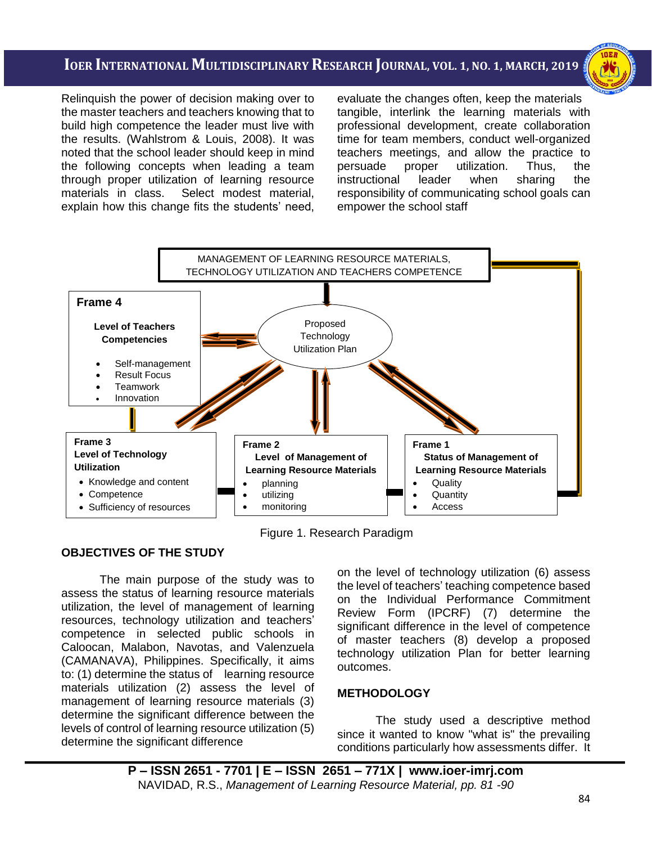i<br>I

Relinquish the power of decision making over to the master teachers and teachers knowing that to build high competence the leader must live with the results. (Wahlstrom & Louis, 2008). It was noted that the school leader should keep in mind the following concepts when leading a team through proper utilization of learning resource materials in class. Select modest material, explain how this change fits the students' need, evaluate the changes often, keep the materials tangible, interlink the learning materials with professional development, create collaboration time for team members, conduct well-organized teachers meetings, and allow the practice to persuade proper utilization. Thus, the instructional leader when sharing the responsibility of communicating school goals can empower the school staff



Figure 1. Research Paradigm

### **OBJECTIVES OF THE STUDY**

The main purpose of the study was to assess the status of learning resource materials utilization, the level of management of learning resources, technology utilization and teachers' competence in selected public schools in Caloocan, Malabon, Navotas, and Valenzuela (CAMANAVA), Philippines. Specifically, it aims to: (1) determine the status of learning resource materials utilization (2) assess the level of management of learning resource materials (3) determine the significant difference between the levels of control of learning resource utilization (5) determine the significant difference

on the level of technology utilization (6) assess the level of teachers' teaching competence based on the Individual Performance Commitment Review Form (IPCRF) (7) determine the significant difference in the level of competence of master teachers (8) develop a proposed technology utilization Plan for better learning outcomes.

### **METHODOLOGY**

The study used a descriptive method since it wanted to know "what is" the prevailing conditions particularly how assessments differ. It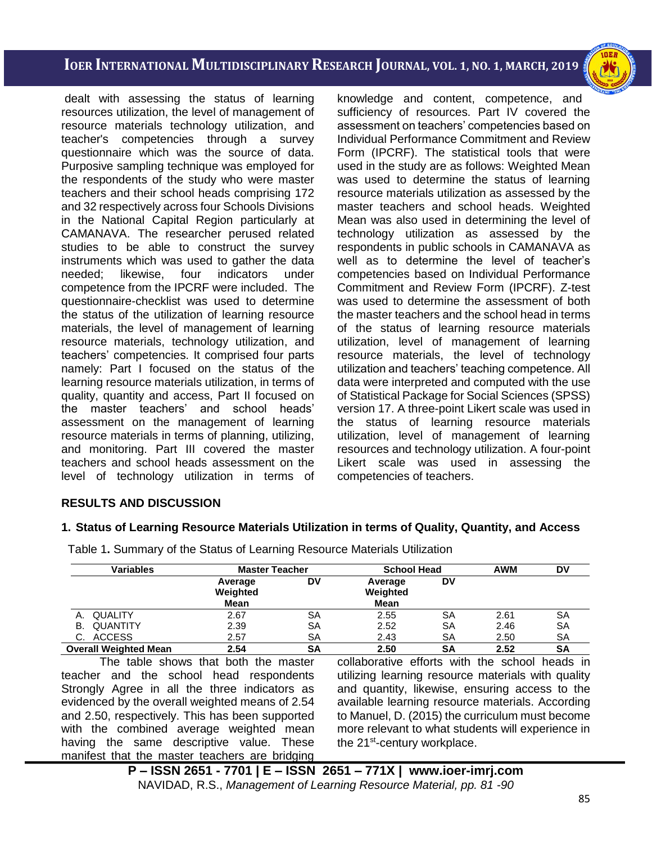i<br>I

dealt with assessing the status of learning resources utilization, the level of management of resource materials technology utilization, and teacher's competencies through a survey questionnaire which was the source of data. Purposive sampling technique was employed for the respondents of the study who were master teachers and their school heads comprising 172 and 32 respectively across four Schools Divisions in the National Capital Region particularly at CAMANAVA. The researcher perused related studies to be able to construct the survey instruments which was used to gather the data needed; likewise, four indicators under competence from the IPCRF were included. The questionnaire-checklist was used to determine the status of the utilization of learning resource materials, the level of management of learning resource materials, technology utilization, and teachers' competencies. It comprised four parts namely: Part I focused on the status of the learning resource materials utilization, in terms of quality, quantity and access, Part II focused on the master teachers' and school heads' assessment on the management of learning resource materials in terms of planning, utilizing, and monitoring. Part III covered the master teachers and school heads assessment on the level of technology utilization in terms of knowledge and content, competence, and sufficiency of resources. Part IV covered the assessment on teachers' competencies based on Individual Performance Commitment and Review Form (IPCRF). The statistical tools that were used in the study are as follows: Weighted Mean was used to determine the status of learning resource materials utilization as assessed by the master teachers and school heads. Weighted Mean was also used in determining the level of technology utilization as assessed by the respondents in public schools in CAMANAVA as well as to determine the level of teacher's competencies based on Individual Performance Commitment and Review Form (IPCRF). Z-test was used to determine the assessment of both the master teachers and the school head in terms of the status of learning resource materials utilization, level of management of learning resource materials, the level of technology utilization and teachers' teaching competence. All data were interpreted and computed with the use of Statistical Package for Social Sciences (SPSS) version 17. A three-point Likert scale was used in the status of learning resource materials utilization, level of management of learning resources and technology utilization. A four-point Likert scale was used in assessing the competencies of teachers.

### **RESULTS AND DISCUSSION**

#### **1. Status of Learning Resource Materials Utilization in terms of Quality, Quantity, and Access**

| <b>Variables</b>             |                                    | <b>Master Teacher</b> |                             | <b>School Head</b> | <b>AWM</b> | DV        |
|------------------------------|------------------------------------|-----------------------|-----------------------------|--------------------|------------|-----------|
|                              | Average<br>Weighted<br><b>Mean</b> | DV                    | Average<br>Weighted<br>Mean | DV                 |            |           |
| QUALITY                      | 2.67                               | SΑ                    | 2.55                        | SΑ                 | 2.61       | SA        |
| QUANTITY<br>В.               | 2.39                               | SΑ                    | 2.52                        | SΑ                 | 2.46       | <b>SA</b> |
| C. ACCESS                    | 2.57                               | SA                    | 2.43                        | SΑ                 | 2.50       | SА        |
| <b>Overall Weighted Mean</b> | 2.54                               | SΑ                    | 2.50                        | SΑ                 | 2.52       | SΑ        |

Table 1**.** Summary of the Status of Learning Resource Materials Utilization

The table shows that both the master teacher and the school head respondents Strongly Agree in all the three indicators as evidenced by the overall weighted means of 2.54 and 2.50, respectively. This has been supported with the combined average weighted mean having the same descriptive value. These manifest that the master teachers are bridging

collaborative efforts with the school heads in utilizing learning resource materials with quality and quantity, likewise, ensuring access to the available learning resource materials. According to Manuel, D. (2015) the curriculum must become more relevant to what students will experience in the 21<sup>st</sup>-century workplace.

**P – ISSN 2651 - 7701 | E – ISSN 2651 – 771X | [www.ioer-imrj.com](http://www.ioer-imrj.com/)** NAVIDAD, R.S., *Management of Learning Resource Material, pp. 81 -90*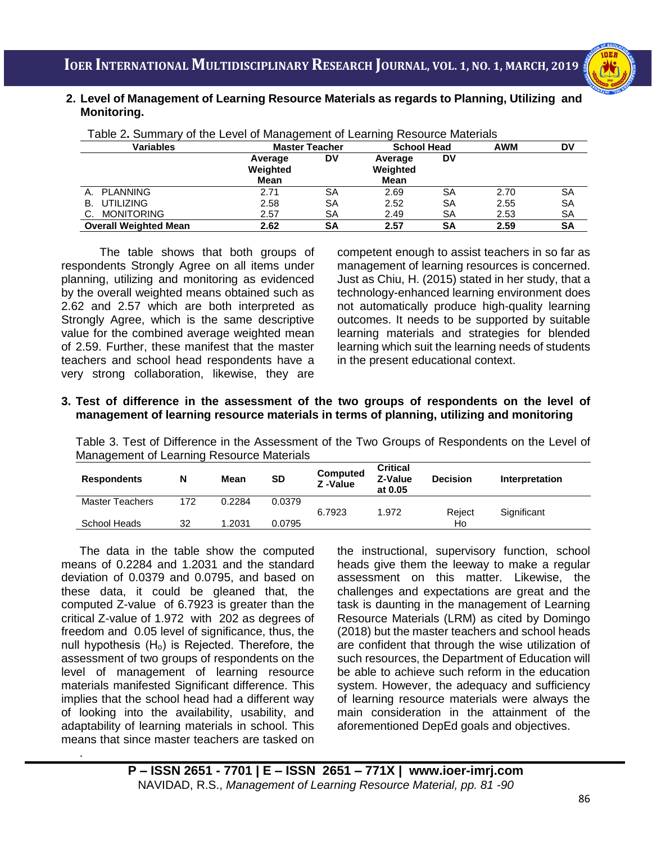### i<br>I **2. Level of Management of Learning Resource Materials as regards to Planning, Utilizing and Monitoring.**

| rable L. Cammary or the Lover or management or Learning Resource materials |                             |           |                             |    |            |           |  |  |  |
|----------------------------------------------------------------------------|-----------------------------|-----------|-----------------------------|----|------------|-----------|--|--|--|
| <b>Variables</b>                                                           | <b>Master Teacher</b>       |           | <b>School Head</b>          |    | <b>AWM</b> | DV        |  |  |  |
|                                                                            | Average<br>Weighted<br>Mean | DV        | Average<br>Weighted<br>Mean | DV |            |           |  |  |  |
| A. PLANNING                                                                | 2.71                        | SΑ        | 2.69                        | SΑ | 2.70       | SA        |  |  |  |
| B. UTILIZING                                                               | 2.58                        | SΑ        | 2.52                        | SΑ | 2.55       | SA        |  |  |  |
| C. MONITORING                                                              | 2.57                        | SΑ        | 2.49                        | SA | 2.53       | <b>SA</b> |  |  |  |
| <b>Overall Weighted Mean</b>                                               | 2.62                        | <b>SA</b> | 2.57                        | SΑ | 2.59       | SΑ        |  |  |  |

Table 2**.** Summary of the Level of Management of Learning Resource Materials

The table shows that both groups of respondents Strongly Agree on all items under planning, utilizing and monitoring as evidenced by the overall weighted means obtained such as 2.62 and 2.57 which are both interpreted as Strongly Agree, which is the same descriptive value for the combined average weighted mean of 2.59. Further, these manifest that the master teachers and school head respondents have a very strong collaboration, likewise, they are

competent enough to assist teachers in so far as management of learning resources is concerned. Just as Chiu, H. (2015) stated in her study, that a technology-enhanced learning environment does not automatically produce high-quality learning outcomes. It needs to be supported by suitable learning materials and strategies for blended learning which suit the learning needs of students in the present educational context.

### **3. Test of difference in the assessment of the two groups of respondents on the level of management of learning resource materials in terms of planning, utilizing and monitoring**

Table 3. Test of Difference in the Assessment of the Two Groups of Respondents on the Level of Management of Learning Resource Materials

| <b>Respondents</b>     | N   | Mean   | SD     | Computed<br>Z-Value | <b>Critical</b><br>Z-Value<br>at 0.05 | <b>Decision</b> | Interpretation |
|------------------------|-----|--------|--------|---------------------|---------------------------------------|-----------------|----------------|
| <b>Master Teachers</b> | 172 | 0.2284 | 0.0379 |                     |                                       |                 |                |
|                        |     |        |        | 6.7923              | 1.972                                 | Reiect          | Significant    |
| School Heads           | 32  | 1.2031 | 0.0795 |                     |                                       | Ho              |                |

The data in the table show the computed means of 0.2284 and 1.2031 and the standard deviation of 0.0379 and 0.0795, and based on these data, it could be gleaned that, the computed Z-value of 6.7923 is greater than the critical Z-value of 1.972 with 202 as degrees of freedom and 0.05 level of significance, thus, the null hypothesis  $(H_0)$  is Rejected. Therefore, the assessment of two groups of respondents on the level of management of learning resource materials manifested Significant difference. This implies that the school head had a different way of looking into the availability, usability, and adaptability of learning materials in school. This means that since master teachers are tasked on

.

the instructional, supervisory function, school heads give them the leeway to make a regular assessment on this matter. Likewise, the challenges and expectations are great and the task is daunting in the management of Learning Resource Materials (LRM) as cited by Domingo (2018) but the master teachers and school heads are confident that through the wise utilization of such resources, the Department of Education will be able to achieve such reform in the education system. However, the adequacy and sufficiency of learning resource materials were always the main consideration in the attainment of the aforementioned DepEd goals and objectives.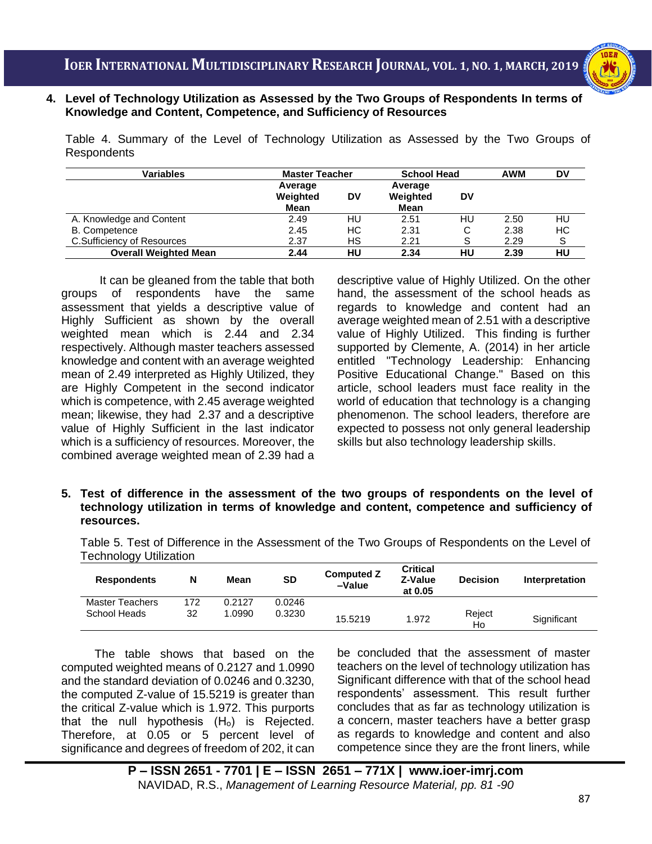

i<br>I  **Knowledge and Content, Competence, and Sufficiency of Resources 4. Level of Technology Utilization as Assessed by the Two Groups of Respondents In terms of**

Table 4. Summary of the Level of Technology Utilization as Assessed by the Two Groups of Respondents

| <b>Variables</b>             | <b>Master Teacher</b>       |    | <b>School Head</b>          |    | <b>AWM</b> | DV |
|------------------------------|-----------------------------|----|-----------------------------|----|------------|----|
|                              | Average<br>Weighted<br>Mean | DV | Average<br>Weighted<br>Mean | DV |            |    |
| A. Knowledge and Content     | 2.49                        | HU | 2.51                        | HU | 2.50       | HU |
| B. Competence                | 2.45                        | НC | 2.31                        | С  | 2.38       | НC |
| C.Sufficiency of Resources   | 2.37                        | НS | 2.21                        |    | 2.29       | S  |
| <b>Overall Weighted Mean</b> | 2.44                        | HU | 2.34                        | HU | 2.39       | HU |

It can be gleaned from the table that both groups of respondents have the same assessment that yields a descriptive value of Highly Sufficient as shown by the overall weighted mean which is 2.44 and 2.34 respectively. Although master teachers assessed knowledge and content with an average weighted mean of 2.49 interpreted as Highly Utilized, they are Highly Competent in the second indicator which is competence, with 2.45 average weighted mean; likewise, they had 2.37 and a descriptive value of Highly Sufficient in the last indicator which is a sufficiency of resources. Moreover, the combined average weighted mean of 2.39 had a

descriptive value of Highly Utilized. On the other hand, the assessment of the school heads as regards to knowledge and content had an average weighted mean of 2.51 with a descriptive value of Highly Utilized. This finding is further supported by Clemente, A. (2014) in her article entitled "Technology Leadership: Enhancing Positive Educational Change." Based on this article, school leaders must face reality in the world of education that technology is a changing phenomenon. The school leaders, therefore are expected to possess not only general leadership skills but also technology leadership skills.

**5. Test of difference in the assessment of the two groups of respondents on the level of technology utilization in terms of knowledge and content, competence and sufficiency of resources.**

Table 5. Test of Difference in the Assessment of the Two Groups of Respondents on the Level of Technology Utilization

| <b>Respondents</b>     | N   | Mean   | <b>SD</b> | <b>Computed Z</b><br>-Value | <b>Critical</b><br>Z-Value<br>at 0.05 | <b>Decision</b> | Interpretation |
|------------------------|-----|--------|-----------|-----------------------------|---------------------------------------|-----------------|----------------|
| <b>Master Teachers</b> | 172 | 0.2127 | 0.0246    |                             |                                       |                 |                |
| School Heads           | 32  | .0990  | 0.3230    | 15.5219                     | 1.972                                 | Reject<br>Ho    | Significant    |

The table shows that based on the computed weighted means of 0.2127 and 1.0990 and the standard deviation of 0.0246 and 0.3230, the computed Z-value of 15.5219 is greater than the critical Z-value which is 1.972. This purports that the null hypothesis  $(H<sub>o</sub>)$  is Rejected. Therefore, at 0.05 or 5 percent level of significance and degrees of freedom of 202, it can be concluded that the assessment of master teachers on the level of technology utilization has Significant difference with that of the school head respondents' assessment. This result further concludes that as far as technology utilization is a concern, master teachers have a better grasp as regards to knowledge and content and also competence since they are the front liners, while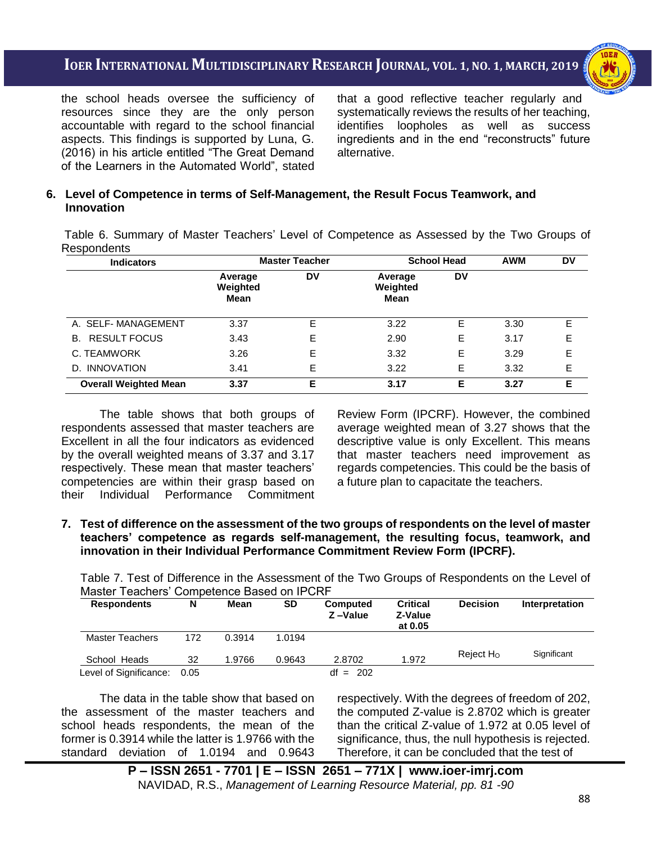i<br>I



the school heads oversee the sufficiency of resources since they are the only person accountable with regard to the school financial aspects. This findings is supported by Luna, G. (2016) in his article entitled "The Great Demand of the Learners in the Automated World", stated that a good reflective teacher regularly and systematically reviews the results of her teaching, identifies loopholes as well as success ingredients and in the end "reconstructs" future alternative.

### **6. Level of Competence in terms of Self-Management, the Result Focus Teamwork, and Innovation**

Table 6. Summary of Master Teachers' Level of Competence as Assessed by the Two Groups of Respondents

| <b>Indicators</b>            | <b>Master Teacher</b>       |    | <b>School Head</b>          |    | <b>AWM</b> | <b>DV</b> |
|------------------------------|-----------------------------|----|-----------------------------|----|------------|-----------|
|                              | Average<br>Weighted<br>Mean | DV | Average<br>Weighted<br>Mean | DV |            |           |
| A. SELF-MANAGEMENT           | 3.37                        | E  | 3.22                        | E  | 3.30       | Е         |
| <b>B. RESULT FOCUS</b>       | 3.43                        | Е  | 2.90                        | Е  | 3.17       | Е         |
| C. TEAMWORK                  | 3.26                        | E  | 3.32                        | Е  | 3.29       | Е         |
| D. INNOVATION                | 3.41                        | E  | 3.22                        | E  | 3.32       | Е         |
| <b>Overall Weighted Mean</b> | 3.37                        | Е  | 3.17                        | Е  | 3.27       | Е         |

The table shows that both groups of respondents assessed that master teachers are Excellent in all the four indicators as evidenced by the overall weighted means of 3.37 and 3.17 respectively. These mean that master teachers' competencies are within their grasp based on their Individual Performance Commitment

Review Form (IPCRF). However, the combined average weighted mean of 3.27 shows that the descriptive value is only Excellent. This means that master teachers need improvement as regards competencies. This could be the basis of a future plan to capacitate the teachers.

**7. Test of difference on the assessment of the two groups of respondents on the level of master teachers' competence as regards self-management, the resulting focus, teamwork, and innovation in their Individual Performance Commitment Review Form (IPCRF).**

Table 7. Test of Difference in the Assessment of the Two Groups of Respondents on the Level of Master Teachers' Competence Based on IPCRF

| <b>Respondents</b>     | N    | Mean   | <b>SD</b> | <b>Computed</b><br>Z-Value | <b>Critical</b><br>Z-Value<br>at 0.05 | <b>Decision</b>       | Interpretation |
|------------------------|------|--------|-----------|----------------------------|---------------------------------------|-----------------------|----------------|
| Master Teachers        | 172  | 0.3914 | 1.0194    |                            |                                       |                       |                |
| School Heads           | 32   | 1.9766 | 0.9643    | 2.8702                     | 1.972                                 | Reject H <sub>o</sub> | Significant    |
| Level of Significance: | 0.05 |        |           | $df = 202$                 |                                       |                       |                |

The data in the table show that based on the assessment of the master teachers and school heads respondents, the mean of the former is 0.3914 while the latter is 1.9766 with the standard deviation of 1.0194 and 0.9643 respectively. With the degrees of freedom of 202, the computed Z-value is 2.8702 which is greater than the critical Z-value of 1.972 at 0.05 level of significance, thus, the null hypothesis is rejected. Therefore, it can be concluded that the test of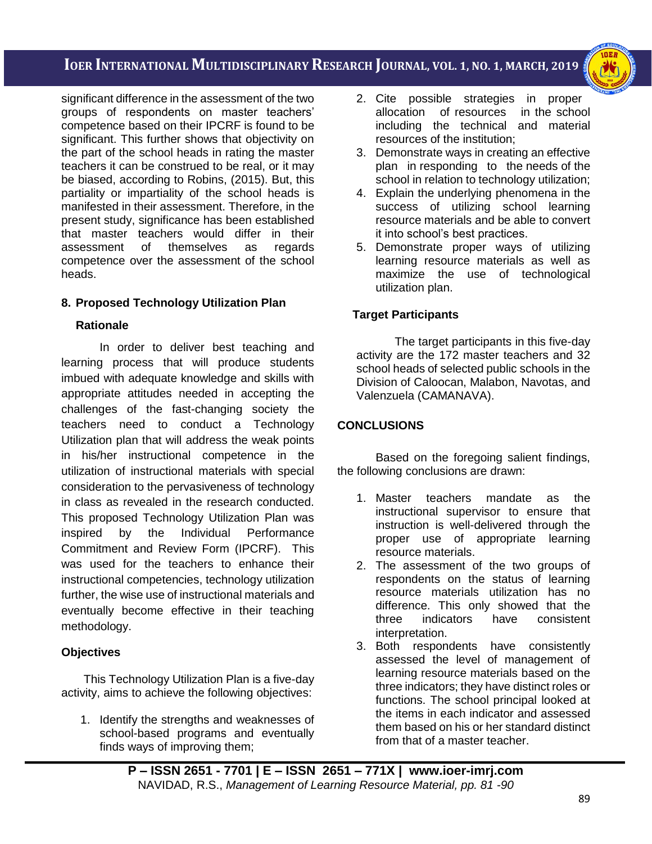i<br>I



significant difference in the assessment of the two groups of respondents on master teachers' competence based on their IPCRF is found to be significant. This further shows that objectivity on the part of the school heads in rating the master teachers it can be construed to be real, or it may be biased, according to Robins, (2015). But, this partiality or impartiality of the school heads is manifested in their assessment. Therefore, in the present study, significance has been established that master teachers would differ in their assessment of themselves as regards competence over the assessment of the school heads.

## **8. Proposed Technology Utilization Plan**

### **Rationale**

In order to deliver best teaching and learning process that will produce students imbued with adequate knowledge and skills with appropriate attitudes needed in accepting the challenges of the fast-changing society the teachers need to conduct a Technology Utilization plan that will address the weak points in his/her instructional competence in the utilization of instructional materials with special consideration to the pervasiveness of technology in class as revealed in the research conducted. This proposed Technology Utilization Plan was inspired by the Individual Performance Commitment and Review Form (IPCRF). This was used for the teachers to enhance their instructional competencies, technology utilization further, the wise use of instructional materials and eventually become effective in their teaching methodology.

## **Objectives**

This Technology Utilization Plan is a five-day activity, aims to achieve the following objectives:

1. Identify the strengths and weaknesses of school-based programs and eventually finds ways of improving them;

- 2. Cite possible strategies in proper allocation of resources in the school including the technical and material resources of the institution;
- 3. Demonstrate ways in creating an effective plan in responding to the needs of the school in relation to technology utilization;
- 4. Explain the underlying phenomena in the success of utilizing school learning resource materials and be able to convert it into school's best practices.
- 5. Demonstrate proper ways of utilizing learning resource materials as well as maximize the use of technological utilization plan.

## **Target Participants**

The target participants in this five-day activity are the 172 master teachers and 32 school heads of selected public schools in the Division of Caloocan, Malabon, Navotas, and Valenzuela (CAMANAVA).

## **CONCLUSIONS**

Based on the foregoing salient findings, the following conclusions are drawn:

- 1. Master teachers mandate as the instructional supervisor to ensure that instruction is well-delivered through the proper use of appropriate learning resource materials.
- 2. The assessment of the two groups of respondents on the status of learning resource materials utilization has no difference. This only showed that the three indicators have consistent interpretation.
- 3. Both respondents have consistently assessed the level of management of learning resource materials based on the three indicators; they have distinct roles or functions. The school principal looked at the items in each indicator and assessed them based on his or her standard distinct from that of a master teacher.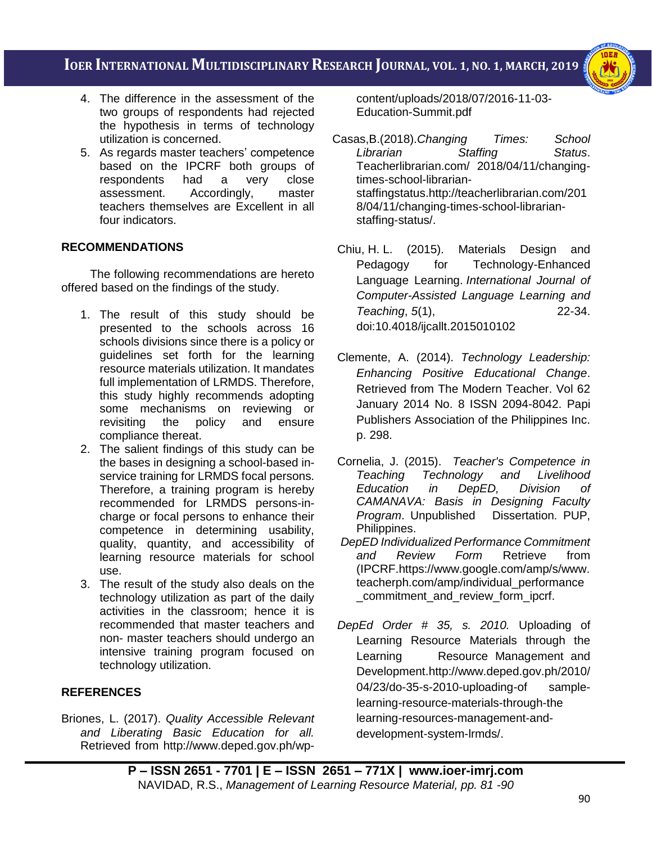i<br>I



- 4. The difference in the assessment of the two groups of respondents had rejected the hypothesis in terms of technology utilization is concerned.
- 5. As regards master teachers' competence based on the IPCRF both groups of respondents had a very close assessment. Accordingly, master teachers themselves are Excellent in all four indicators.

## **RECOMMENDATIONS**

The following recommendations are hereto offered based on the findings of the study.

- 1. The result of this study should be presented to the schools across 16 schools divisions since there is a policy or guidelines set forth for the learning resource materials utilization. It mandates full implementation of LRMDS. Therefore, this study highly recommends adopting some mechanisms on reviewing or revisiting the policy and ensure compliance thereat.
- 2. The salient findings of this study can be the bases in designing a school-based inservice training for LRMDS focal persons. Therefore, a training program is hereby recommended for LRMDS persons-incharge or focal persons to enhance their competence in determining usability, quality, quantity, and accessibility of learning resource materials for school use.
- 3. The result of the study also deals on the technology utilization as part of the daily activities in the classroom; hence it is recommended that master teachers and non- master teachers should undergo an intensive training program focused on technology utilization.

## **REFERENCES**

Briones, L. (2017). *Quality Accessible Relevant and Liberating Basic Education for all.* Retrieved from http://www.deped.gov.ph/wpcontent/uploads/2018/07/2016-11-03- Education-Summit.pdf

- Casas,B.(2018).*Changing Times: School Librarian Staffing Status*. Teacherlibrarian.com/ 2018/04/11/changingtimes-school-librarianstaffingstatus.http://teacherlibrarian.com/201 8/04/11/changing-times-school-librarianstaffing-status/.
- Chiu, H. L. (2015). Materials Design and Pedagogy for Technology-Enhanced Language Learning. *International Journal of Computer-Assisted Language Learning and Teaching*, *5*(1), 22-34. doi:10.4018/ijcallt.2015010102
- Clemente, A. (2014). *Technology Leadership: Enhancing Positive Educational Change*. Retrieved from The Modern Teacher. Vol 62 January 2014 No. 8 ISSN 2094-8042. Papi Publishers Association of the Philippines Inc. p. 298.
- Cornelia, J. (2015). *Teacher's Competence in*  **Technology and Livelihood** *Education in DepED, Division of CAMANAVA: Basis in Designing Faculty Program*. Unpublished Dissertation. PUP, Philippines.
- *DepED Individualized Performance Commitment and Review Form* Retrieve from (IPCRF.https://www.google.com/amp/s/www. teacherph.com/amp/individual\_performance commitment and review form ipcrf.
- *DepEd Order # 35, s. 2010.* Uploading of Learning Resource Materials through the Learning Resource Management and Development.http://www.deped.gov.ph/2010/ 04/23/do-35-s-2010-uploading-of samplelearning-resource-materials-through-the learning-resources-management-anddevelopment-system-lrmds/.